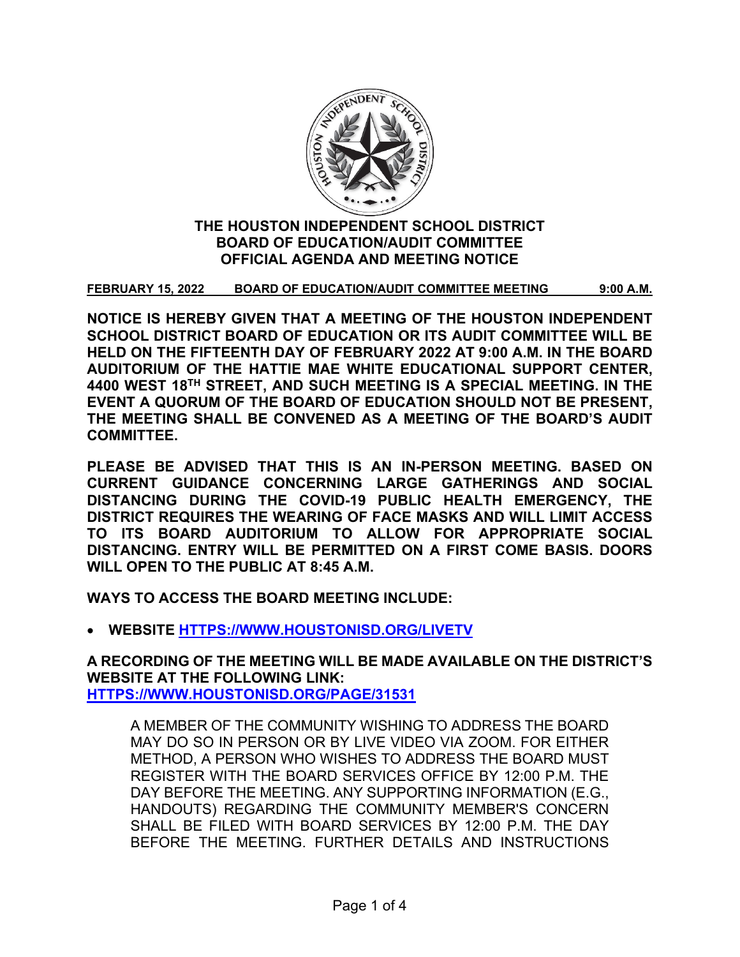

# **THE HOUSTON INDEPENDENT SCHOOL DISTRICT BOARD OF EDUCATION/AUDIT COMMITTEE OFFICIAL AGENDA AND MEETING NOTICE**

**FEBRUARY 15, 2022 BOARD OF EDUCATION/AUDIT COMMITTEE MEETING 9:00 A.M.**

**NOTICE IS HEREBY GIVEN THAT A MEETING OF THE HOUSTON INDEPENDENT SCHOOL DISTRICT BOARD OF EDUCATION OR ITS AUDIT COMMITTEE WILL BE HELD ON THE FIFTEENTH DAY OF FEBRUARY 2022 AT 9:00 A.M. IN THE BOARD AUDITORIUM OF THE HATTIE MAE WHITE EDUCATIONAL SUPPORT CENTER, 4400 WEST 18TH STREET, AND SUCH MEETING IS A SPECIAL MEETING. IN THE EVENT A QUORUM OF THE BOARD OF EDUCATION SHOULD NOT BE PRESENT, THE MEETING SHALL BE CONVENED AS A MEETING OF THE BOARD'S AUDIT COMMITTEE.**

**PLEASE BE ADVISED THAT THIS IS AN IN-PERSON MEETING. BASED ON CURRENT GUIDANCE CONCERNING LARGE GATHERINGS AND SOCIAL DISTANCING DURING THE COVID-19 PUBLIC HEALTH EMERGENCY, THE DISTRICT REQUIRES THE WEARING OF FACE MASKS AND WILL LIMIT ACCESS TO ITS BOARD AUDITORIUM TO ALLOW FOR APPROPRIATE SOCIAL DISTANCING. ENTRY WILL BE PERMITTED ON A FIRST COME BASIS. DOORS WILL OPEN TO THE PUBLIC AT 8:45 A.M.**

**WAYS TO ACCESS THE BOARD MEETING INCLUDE:**

• **WEBSITE [HTTPS://WWW.HOUSTONISD.ORG/LIVETV](https://www.houstonisd.org/livetv)**

**A RECORDING OF THE MEETING WILL BE MADE AVAILABLE ON THE DISTRICT'S WEBSITE AT THE FOLLOWING LINK: [HTTPS://WWW.HOUSTONISD.ORG/PAGE/31531](https://www.houstonisd.org/Page/31531)**

A MEMBER OF THE COMMUNITY WISHING TO ADDRESS THE BOARD MAY DO SO IN PERSON OR BY LIVE VIDEO VIA ZOOM. FOR EITHER METHOD, A PERSON WHO WISHES TO ADDRESS THE BOARD MUST REGISTER WITH THE BOARD SERVICES OFFICE BY 12:00 P.M. THE DAY BEFORE THE MEETING. ANY SUPPORTING INFORMATION (E.G., HANDOUTS) REGARDING THE COMMUNITY MEMBER'S CONCERN SHALL BE FILED WITH BOARD SERVICES BY 12:00 P.M. THE DAY BEFORE THE MEETING. FURTHER DETAILS AND INSTRUCTIONS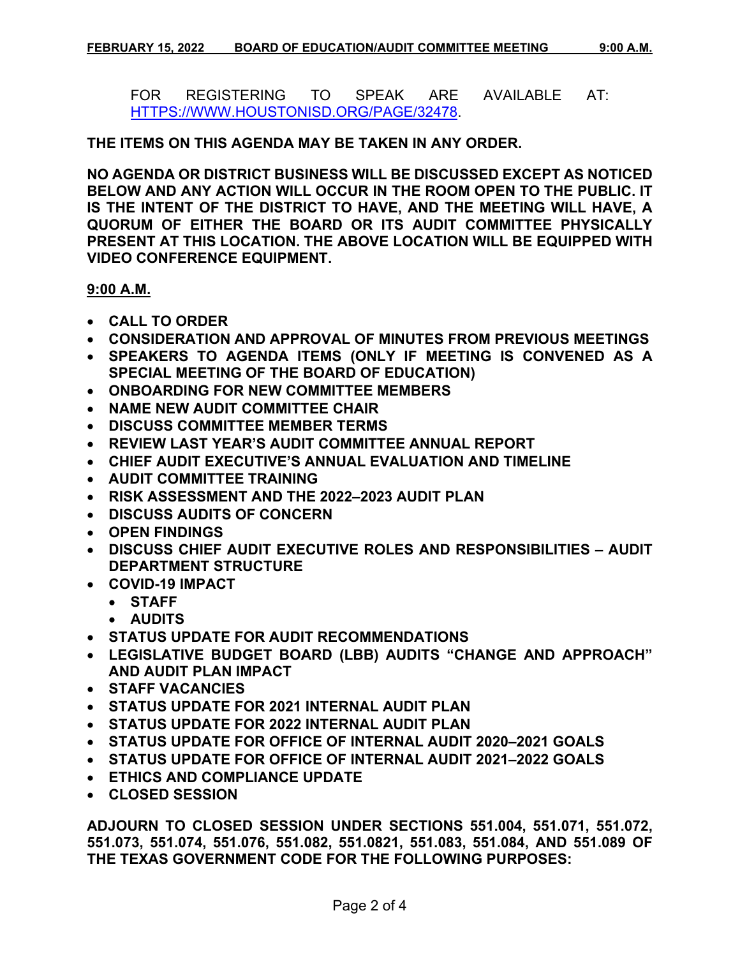FOR REGISTERING TO SPEAK ARE AVAILABLE AT: [HTTPS://WWW.HOUSTONISD.ORG/PAGE/32478.](https://www.houstonisd.org/Page/32478)

**THE ITEMS ON THIS AGENDA MAY BE TAKEN IN ANY ORDER.**

**NO AGENDA OR DISTRICT BUSINESS WILL BE DISCUSSED EXCEPT AS NOTICED BELOW AND ANY ACTION WILL OCCUR IN THE ROOM OPEN TO THE PUBLIC. IT IS THE INTENT OF THE DISTRICT TO HAVE, AND THE MEETING WILL HAVE, A QUORUM OF EITHER THE BOARD OR ITS AUDIT COMMITTEE PHYSICALLY PRESENT AT THIS LOCATION. THE ABOVE LOCATION WILL BE EQUIPPED WITH VIDEO CONFERENCE EQUIPMENT.**

**9:00 A.M.**

- **CALL TO ORDER**
- **CONSIDERATION AND APPROVAL OF MINUTES FROM PREVIOUS MEETINGS**
- **SPEAKERS TO AGENDA ITEMS (ONLY IF MEETING IS CONVENED AS A SPECIAL MEETING OF THE BOARD OF EDUCATION)**
- **ONBOARDING FOR NEW COMMITTEE MEMBERS**
- **NAME NEW AUDIT COMMITTEE CHAIR**
- **DISCUSS COMMITTEE MEMBER TERMS**
- **REVIEW LAST YEAR'S AUDIT COMMITTEE ANNUAL REPORT**
- **CHIEF AUDIT EXECUTIVE'S ANNUAL EVALUATION AND TIMELINE**
- **AUDIT COMMITTEE TRAINING**
- **RISK ASSESSMENT AND THE 2022–2023 AUDIT PLAN**
- **DISCUSS AUDITS OF CONCERN**
- **OPEN FINDINGS**
- **DISCUSS CHIEF AUDIT EXECUTIVE ROLES AND RESPONSIBILITIES – AUDIT DEPARTMENT STRUCTURE**
- **COVID-19 IMPACT**
	- **STAFF**
	- **AUDITS**
- **STATUS UPDATE FOR AUDIT RECOMMENDATIONS**
- **LEGISLATIVE BUDGET BOARD (LBB) AUDITS "CHANGE AND APPROACH" AND AUDIT PLAN IMPACT**
- **STAFF VACANCIES**
- **STATUS UPDATE FOR 2021 INTERNAL AUDIT PLAN**
- **STATUS UPDATE FOR 2022 INTERNAL AUDIT PLAN**
- **STATUS UPDATE FOR OFFICE OF INTERNAL AUDIT 2020–2021 GOALS**
- **STATUS UPDATE FOR OFFICE OF INTERNAL AUDIT 2021–2022 GOALS**
- **ETHICS AND COMPLIANCE UPDATE**
- **CLOSED SESSION**

**ADJOURN TO CLOSED SESSION UNDER SECTIONS 551.004, 551.071, 551.072, 551.073, 551.074, 551.076, 551.082, 551.0821, 551.083, 551.084, AND 551.089 OF THE TEXAS GOVERNMENT CODE FOR THE FOLLOWING PURPOSES:**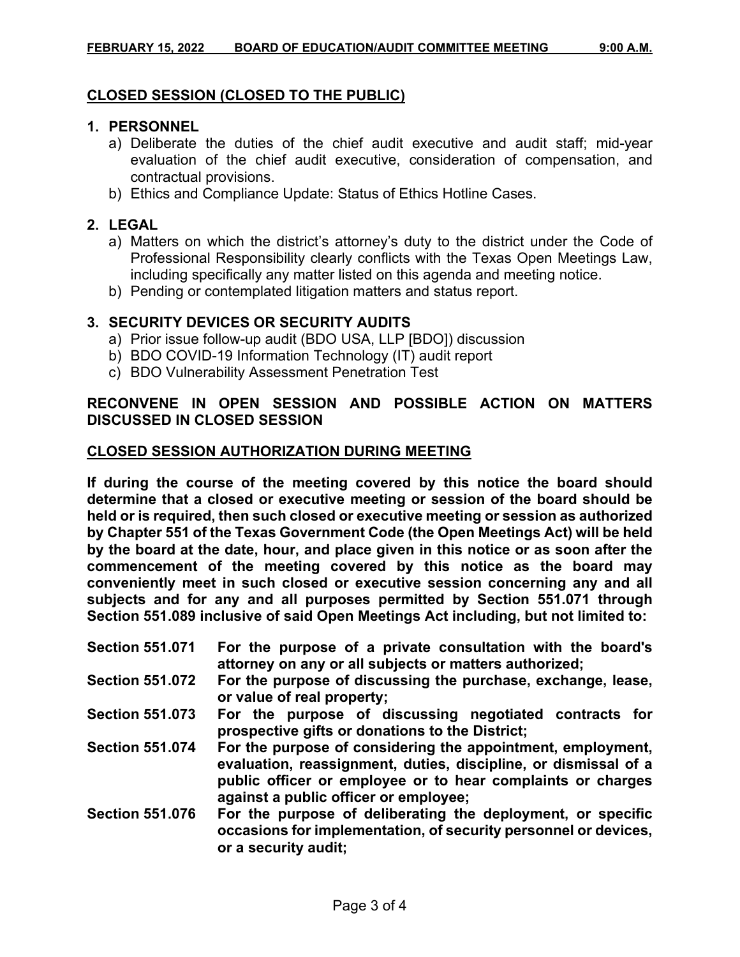#### **CLOSED SESSION (CLOSED TO THE PUBLIC)**

#### **1. PERSONNEL**

- a) Deliberate the duties of the chief audit executive and audit staff; mid-year evaluation of the chief audit executive, consideration of compensation, and contractual provisions.
- b) Ethics and Compliance Update: Status of Ethics Hotline Cases.

#### **2. LEGAL**

- a) Matters on which the district's attorney's duty to the district under the Code of Professional Responsibility clearly conflicts with the Texas Open Meetings Law, including specifically any matter listed on this agenda and meeting notice.
- b) Pending or contemplated litigation matters and status report.

## **3. SECURITY DEVICES OR SECURITY AUDITS**

- a) Prior issue follow-up audit (BDO USA, LLP [BDO]) discussion
- b) BDO COVID-19 Information Technology (IT) audit report
- c) BDO Vulnerability Assessment Penetration Test

## **RECONVENE IN OPEN SESSION AND POSSIBLE ACTION ON MATTERS DISCUSSED IN CLOSED SESSION**

## **CLOSED SESSION AUTHORIZATION DURING MEETING**

**If during the course of the meeting covered by this notice the board should determine that a closed or executive meeting or session of the board should be held or is required, then such closed or executive meeting or session as authorized by Chapter 551 of the Texas Government Code (the Open Meetings Act) will be held by the board at the date, hour, and place given in this notice or as soon after the commencement of the meeting covered by this notice as the board may conveniently meet in such closed or executive session concerning any and all subjects and for any and all purposes permitted by Section 551.071 through Section 551.089 inclusive of said Open Meetings Act including, but not limited to:**

| <b>Section 551.071</b> | For the purpose of a private consultation with the board's<br>attorney on any or all subjects or matters authorized;                                                                          |
|------------------------|-----------------------------------------------------------------------------------------------------------------------------------------------------------------------------------------------|
| <b>Section 551.072</b> | For the purpose of discussing the purchase, exchange, lease,<br>or value of real property;                                                                                                    |
| <b>Section 551.073</b> | For the purpose of discussing negotiated contracts for<br>prospective gifts or donations to the District;                                                                                     |
| <b>Section 551.074</b> | For the purpose of considering the appointment, employment,<br>evaluation, reassignment, duties, discipline, or dismissal of a<br>public officer or employee or to hear complaints or charges |

**against a public officer or employee; Section 551.076 For the purpose of deliberating the deployment, or specific occasions for implementation, of security personnel or devices, or a security audit;**